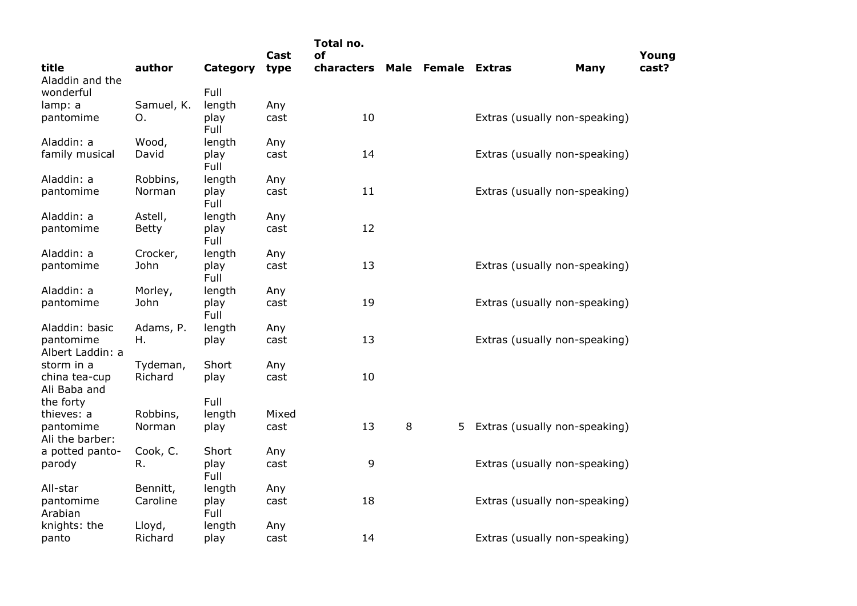|                               |              |              | Cast  | Total no.<br>οf |      |                      |                               |             | Young |
|-------------------------------|--------------|--------------|-------|-----------------|------|----------------------|-------------------------------|-------------|-------|
| title<br>Aladdin and the      | author       | Category     | type  | characters      | Male | <b>Female Extras</b> |                               | <b>Many</b> | cast? |
| wonderful                     |              | Full         |       |                 |      |                      |                               |             |       |
| lamp: a                       | Samuel, K.   | length       | Any   |                 |      |                      |                               |             |       |
| pantomime                     | O.           | play<br>Full | cast  | 10              |      |                      | Extras (usually non-speaking) |             |       |
| Aladdin: a                    | Wood,        | length       | Any   |                 |      |                      |                               |             |       |
| family musical                | David        | play<br>Full | cast  | 14              |      |                      | Extras (usually non-speaking) |             |       |
| Aladdin: a                    | Robbins,     | length       | Any   |                 |      |                      |                               |             |       |
| pantomime                     | Norman       | play<br>Full | cast  | 11              |      |                      | Extras (usually non-speaking) |             |       |
| Aladdin: a                    | Astell,      | length       | Any   |                 |      |                      |                               |             |       |
| pantomime                     | <b>Betty</b> | play<br>Full | cast  | 12              |      |                      |                               |             |       |
| Aladdin: a                    | Crocker,     | length       | Any   |                 |      |                      |                               |             |       |
| pantomime                     | John         | play<br>Full | cast  | 13              |      |                      | Extras (usually non-speaking) |             |       |
| Aladdin: a                    | Morley,      | length       | Any   |                 |      |                      |                               |             |       |
| pantomime                     | John         | play<br>Full | cast  | 19              |      |                      | Extras (usually non-speaking) |             |       |
| Aladdin: basic                | Adams, P.    | length       | Any   |                 |      |                      |                               |             |       |
| pantomime<br>Albert Laddin: a | Η.           | play         | cast  | 13              |      |                      | Extras (usually non-speaking) |             |       |
| storm in a                    | Tydeman,     | Short        | Any   |                 |      |                      |                               |             |       |
| china tea-cup<br>Ali Baba and | Richard      | play         | cast  | 10              |      |                      |                               |             |       |
| the forty                     |              | Full         |       |                 |      |                      |                               |             |       |
| thieves: a                    | Robbins,     | length       | Mixed |                 |      |                      |                               |             |       |
| pantomime<br>Ali the barber:  | Norman       | play         | cast  | 13              | 8    | 5.                   | Extras (usually non-speaking) |             |       |
| a potted panto-               | Cook, C.     | Short        | Any   |                 |      |                      |                               |             |       |
| parody                        | R.           | play<br>Full | cast  | 9               |      |                      | Extras (usually non-speaking) |             |       |
| All-star                      | Bennitt,     | length       | Any   |                 |      |                      |                               |             |       |
| pantomime<br>Arabian          | Caroline     | play<br>Full | cast  | 18              |      |                      | Extras (usually non-speaking) |             |       |
| knights: the                  | Lloyd,       | length       | Any   |                 |      |                      |                               |             |       |
| panto                         | Richard      | play         | cast  | 14              |      |                      | Extras (usually non-speaking) |             |       |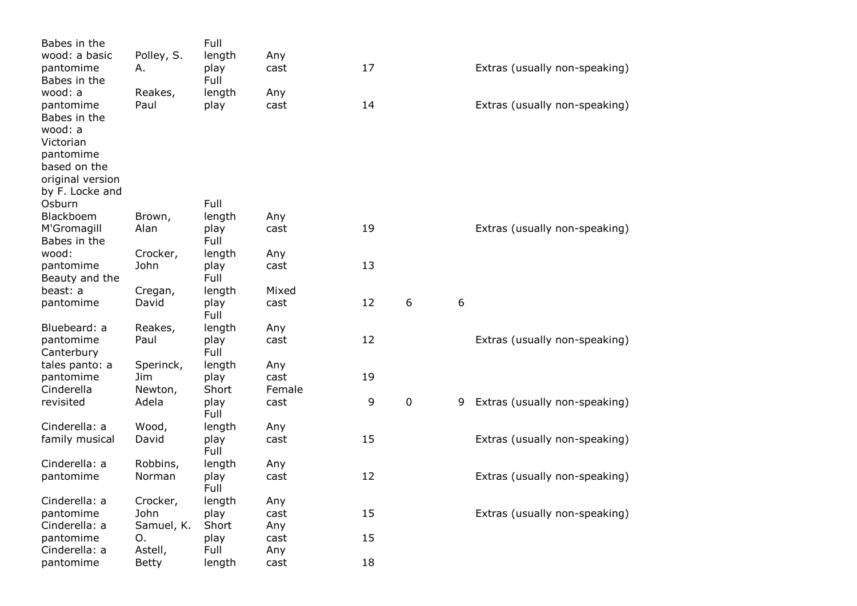| Babes in the               |                  | Full          |             |    |             |   |                               |
|----------------------------|------------------|---------------|-------------|----|-------------|---|-------------------------------|
| wood: a basic              | Polley, S.       | length        | Any         |    |             |   |                               |
| pantomime                  | Α.               | play          | cast        | 17 |             |   | Extras (usually non-speaking) |
| Babes in the               |                  | Full          |             |    |             |   |                               |
| wood: a                    | Reakes,          | length        | Any         |    |             |   |                               |
| pantomime                  | Paul             | play          | cast        | 14 |             |   | Extras (usually non-speaking) |
| Babes in the               |                  |               |             |    |             |   |                               |
| wood: a                    |                  |               |             |    |             |   |                               |
| Victorian                  |                  |               |             |    |             |   |                               |
| pantomime                  |                  |               |             |    |             |   |                               |
| based on the               |                  |               |             |    |             |   |                               |
| original version           |                  |               |             |    |             |   |                               |
| by F. Locke and            |                  |               |             |    |             |   |                               |
| Osburn                     |                  | Full          |             |    |             |   |                               |
| Blackboem                  | Brown,           | length        | Any         |    |             |   |                               |
| M'Gromagill                | Alan             | play          | cast        | 19 |             |   | Extras (usually non-speaking) |
| Babes in the               |                  | Full          |             |    |             |   |                               |
| wood:                      | Crocker,         | length        | Any         |    |             |   |                               |
| pantomime                  | John             | play          | cast        | 13 |             |   |                               |
| Beauty and the             |                  | Full          |             |    |             |   |                               |
| beast: a                   | Cregan,          | length        | Mixed       |    |             |   |                               |
| pantomime                  | David            | play          | cast        | 12 | $6\,$       | 6 |                               |
|                            |                  | Full          |             |    |             |   |                               |
| Bluebeard: a               | Reakes,          | length        | Any         |    |             |   |                               |
| pantomime                  | Paul             | play          | cast        | 12 |             |   | Extras (usually non-speaking) |
| Canterbury                 |                  | Full          |             |    |             |   |                               |
| tales panto: a             | Sperinck,        | length        | Any         |    |             |   |                               |
| pantomime                  | Jim              | play          | cast        | 19 |             |   |                               |
| Cinderella                 | Newton,          | Short         | Female      |    |             |   |                               |
| revisited                  | Adela            | play          | cast        | 9  | $\mathbf 0$ | 9 | Extras (usually non-speaking) |
|                            |                  | Full          |             |    |             |   |                               |
| Cinderella: a              | Wood,            | length        | Any         |    |             |   |                               |
| family musical             | David            | play          | cast        | 15 |             |   | Extras (usually non-speaking) |
|                            |                  | Full          |             |    |             |   |                               |
| Cinderella: a              | Robbins,         | length        | Any         |    |             |   |                               |
| pantomime                  | Norman           | play          | cast        | 12 |             |   | Extras (usually non-speaking) |
|                            |                  | Full          |             |    |             |   |                               |
| Cinderella: a              | Crocker,         | length        | Any         |    |             |   |                               |
| pantomime                  | John             | play          | cast        | 15 |             |   | Extras (usually non-speaking) |
| Cinderella: a<br>pantomime | Samuel, K.<br>0. | Short<br>play | Any<br>cast | 15 |             |   |                               |
| Cinderella: a              | Astell,          | Full          | Any         |    |             |   |                               |
| pantomime                  | <b>Betty</b>     | length        | cast        | 18 |             |   |                               |
|                            |                  |               |             |    |             |   |                               |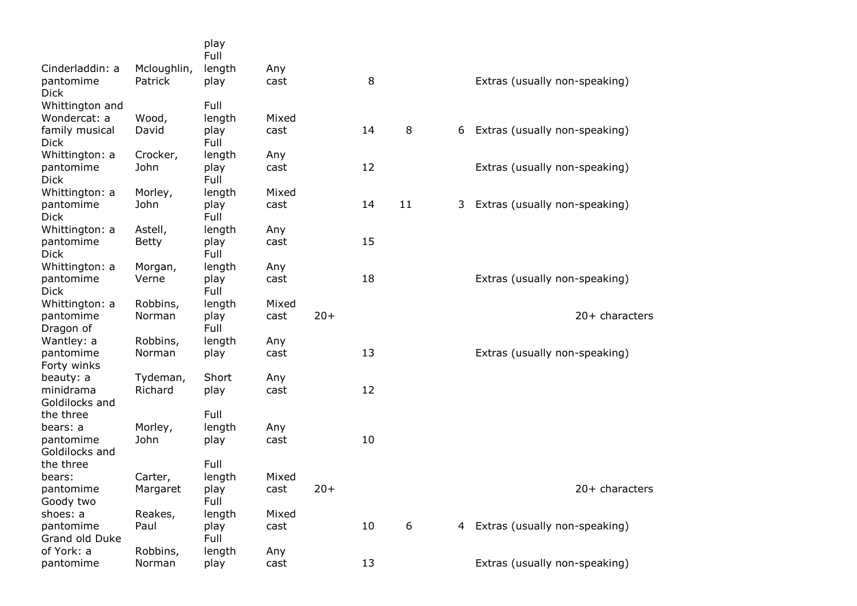|                               |                        | play<br>Full   |             |       |    |    |    |                               |
|-------------------------------|------------------------|----------------|-------------|-------|----|----|----|-------------------------------|
| Cinderladdin: a<br>pantomime  | Mcloughlin,<br>Patrick | length<br>play | Any<br>cast |       | 8  |    |    | Extras (usually non-speaking) |
| <b>Dick</b>                   |                        |                |             |       |    |    |    |                               |
| Whittington and               |                        | Full           |             |       |    |    |    |                               |
| Wondercat: a                  | Wood,                  | length         | Mixed       |       |    |    |    |                               |
| family musical<br><b>Dick</b> | David                  | play<br>Full   | cast        |       | 14 | 8  | 6  | Extras (usually non-speaking) |
| Whittington: a                | Crocker,               | length         | Any         |       |    |    |    |                               |
| pantomime<br><b>Dick</b>      | John                   | play<br>Full   | cast        |       | 12 |    |    | Extras (usually non-speaking) |
| Whittington: a                | Morley,                | length         | Mixed       |       |    |    |    |                               |
| pantomime<br><b>Dick</b>      | John                   | play<br>Full   | cast        |       | 14 | 11 | 3. | Extras (usually non-speaking) |
| Whittington: a                | Astell,                | length         | Any         |       |    |    |    |                               |
| pantomime<br><b>Dick</b>      | <b>Betty</b>           | play<br>Full   | cast        |       | 15 |    |    |                               |
| Whittington: a                | Morgan,                | length         | Any         |       |    |    |    |                               |
| pantomime<br>Dick             | Verne                  | play<br>Full   | cast        |       | 18 |    |    | Extras (usually non-speaking) |
| Whittington: a                | Robbins,               | length         | Mixed       |       |    |    |    |                               |
| pantomime<br>Dragon of        | Norman                 | play<br>Full   | cast        | $20+$ |    |    |    | 20+ characters                |
| Wantley: a                    | Robbins,               | length         | Any         |       |    |    |    |                               |
| pantomime<br>Forty winks      | Norman                 | play           | cast        |       | 13 |    |    | Extras (usually non-speaking) |
| beauty: a                     | Tydeman,               | Short          | Any         |       |    |    |    |                               |
| minidrama                     | Richard                | play           | cast        |       | 12 |    |    |                               |
| Goldilocks and                |                        |                |             |       |    |    |    |                               |
| the three                     |                        | Full           |             |       |    |    |    |                               |
| bears: a<br>pantomime         | Morley,<br>John        | length         | Any<br>cast |       | 10 |    |    |                               |
| Goldilocks and                |                        | play           |             |       |    |    |    |                               |
| the three                     |                        | Full           |             |       |    |    |    |                               |
| bears:                        | Carter,                | length         | Mixed       |       |    |    |    |                               |
| pantomime                     | Margaret               | play           | cast        | $20+$ |    |    |    | 20+ characters                |
| Goody two                     |                        | Full           |             |       |    |    |    |                               |
| shoes: a                      | Reakes,                | length         | Mixed       |       |    |    |    |                               |
| pantomime                     | Paul                   | play           | cast        |       | 10 | 6  | 4  | Extras (usually non-speaking) |
| Grand old Duke                |                        | Full           |             |       |    |    |    |                               |
| of York: a                    | Robbins,               | length         | Any         |       |    |    |    |                               |
| pantomime                     | Norman                 | play           | cast        |       | 13 |    |    | Extras (usually non-speaking) |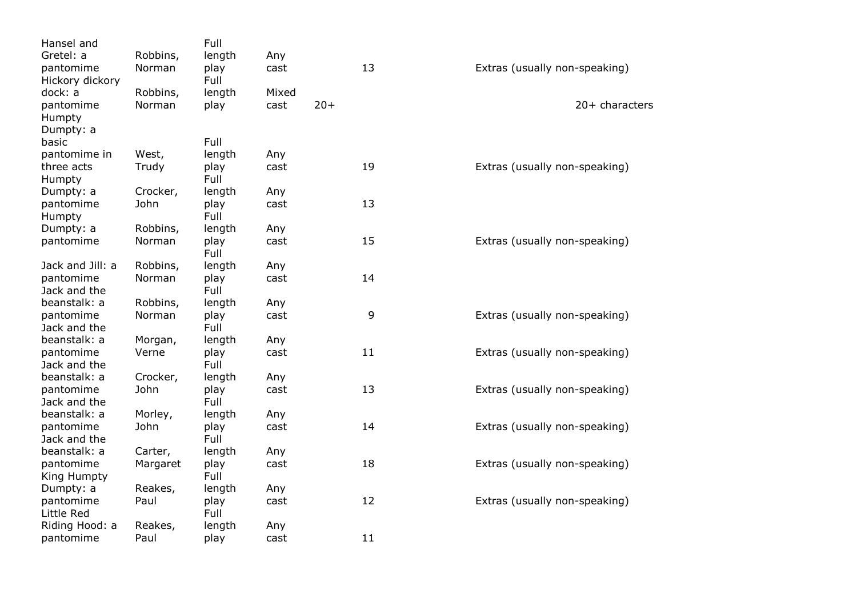| Hansel and                |                  | Full         |       |       |    |                               |
|---------------------------|------------------|--------------|-------|-------|----|-------------------------------|
| Gretel: a                 | Robbins,         | length       | Any   |       |    |                               |
| pantomime                 | Norman           | play         | cast  |       | 13 | Extras (usually non-speaking) |
| Hickory dickory           |                  | Full         |       |       |    |                               |
| dock: a                   | Robbins,         | length       | Mixed |       |    |                               |
| pantomime                 | Norman           | play         | cast  | $20+$ |    | 20+ characters                |
| Humpty                    |                  |              |       |       |    |                               |
| Dumpty: a                 |                  |              |       |       |    |                               |
| basic                     |                  | Full         |       |       |    |                               |
| pantomime in              | West,            | length       | Any   |       |    |                               |
| three acts                | Trudy            | play         | cast  |       | 19 | Extras (usually non-speaking) |
| Humpty                    |                  | Full         |       |       |    |                               |
| Dumpty: a                 | Crocker,         | length       | Any   |       |    |                               |
| pantomime                 | John             | play         | cast  |       | 13 |                               |
| Humpty                    |                  | Full         |       |       |    |                               |
| Dumpty: a                 | Robbins,         | length       | Any   |       |    |                               |
| pantomime                 | Norman           | play         | cast  |       | 15 | Extras (usually non-speaking) |
|                           |                  | Full         |       |       |    |                               |
| Jack and Jill: a          | Robbins,         | length       | Any   |       |    |                               |
| pantomime                 | Norman           | play         | cast  |       | 14 |                               |
| Jack and the              |                  | Full         |       |       |    |                               |
| beanstalk: a              | Robbins,         | length       | Any   |       |    |                               |
| pantomime                 | Norman           | play         | cast  |       | 9  | Extras (usually non-speaking) |
| Jack and the              |                  | Full         |       |       |    |                               |
| beanstalk: a              | Morgan,          | length       | Any   |       |    |                               |
| pantomime                 | Verne            | play         | cast  |       | 11 | Extras (usually non-speaking) |
| Jack and the              |                  | Full         |       |       |    |                               |
| beanstalk: a              | Crocker,<br>John | length       | Any   |       | 13 |                               |
| pantomime<br>Jack and the |                  | play<br>Full | cast  |       |    | Extras (usually non-speaking) |
| beanstalk: a              | Morley,          | length       | Any   |       |    |                               |
| pantomime                 | John             | play         | cast  |       | 14 | Extras (usually non-speaking) |
| Jack and the              |                  | Full         |       |       |    |                               |
| beanstalk: a              | Carter,          | length       | Any   |       |    |                               |
| pantomime                 | Margaret         | play         | cast  |       | 18 | Extras (usually non-speaking) |
| King Humpty               |                  | Full         |       |       |    |                               |
| Dumpty: a                 | Reakes,          | length       | Any   |       |    |                               |
| pantomime                 | Paul             | play         | cast  |       | 12 | Extras (usually non-speaking) |
| Little Red                |                  | Full         |       |       |    |                               |
| Riding Hood: a            | Reakes,          | length       | Any   |       |    |                               |
| pantomime                 | Paul             | play         | cast  |       | 11 |                               |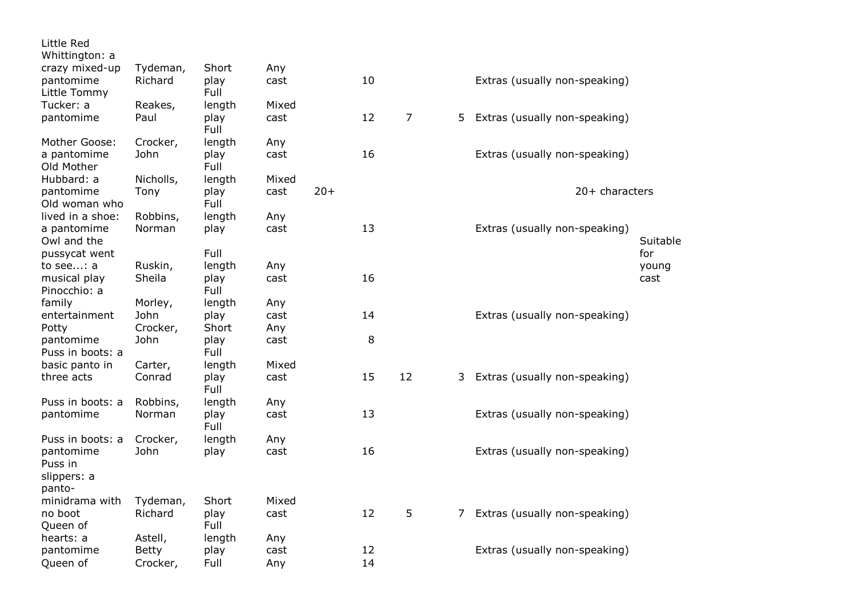| Little Red<br>Whittington: a                                      |                                     |                                |                    |       |          |                |    |                               |                      |
|-------------------------------------------------------------------|-------------------------------------|--------------------------------|--------------------|-------|----------|----------------|----|-------------------------------|----------------------|
| crazy mixed-up<br>pantomime<br>Little Tommy                       | Tydeman,<br>Richard                 | Short<br>play<br>Full          | Any<br>cast        |       | 10       |                |    | Extras (usually non-speaking) |                      |
| Tucker: a<br>pantomime                                            | Reakes,<br>Paul                     | length<br>play<br>Full         | Mixed<br>cast      |       | 12       | $\overline{7}$ | 5. | Extras (usually non-speaking) |                      |
| Mother Goose:<br>a pantomime<br>Old Mother                        | Crocker,<br>John                    | length<br>play<br>Full         | Any<br>cast        |       | 16       |                |    | Extras (usually non-speaking) |                      |
| Hubbard: a<br>pantomime<br>Old woman who                          | Nicholls,<br>Tony                   | length<br>play<br>Full         | Mixed<br>cast      | $20+$ |          |                |    | 20+ characters                |                      |
| lived in a shoe:<br>a pantomime<br>Owl and the                    | Robbins,<br>Norman                  | length<br>play                 | Any<br>cast        |       | 13       |                |    | Extras (usually non-speaking) | Suitable             |
| pussycat went<br>to see: a<br>musical play<br>Pinocchio: a        | Ruskin,<br>Sheila                   | Full<br>length<br>play<br>Full | Any<br>cast        |       | 16       |                |    |                               | for<br>young<br>cast |
| family<br>entertainment<br>Potty                                  | Morley,<br>John<br>Crocker,         | length<br>play<br>Short        | Any<br>cast<br>Any |       | 14       |                |    | Extras (usually non-speaking) |                      |
| pantomime<br>Puss in boots: a                                     | John                                | play<br>Full                   | cast<br>Mixed      |       | 8        |                |    |                               |                      |
| basic panto in<br>three acts                                      | Carter,<br>Conrad                   | length<br>play<br>Full         | cast               |       | 15       | 12             | 3  | Extras (usually non-speaking) |                      |
| Puss in boots: a<br>pantomime                                     | Robbins,<br>Norman                  | length<br>play<br>Full         | Any<br>cast        |       | 13       |                |    | Extras (usually non-speaking) |                      |
| Puss in boots: a<br>pantomime<br>Puss in<br>slippers: a<br>panto- | Crocker,<br>John                    | length<br>play                 | Any<br>cast        |       | 16       |                |    | Extras (usually non-speaking) |                      |
| minidrama with<br>no boot<br>Queen of                             | Tydeman,<br>Richard                 | Short<br>play<br>Full          | Mixed<br>cast      |       | 12       | 5              | 7. | Extras (usually non-speaking) |                      |
| hearts: a<br>pantomime<br>Queen of                                | Astell,<br><b>Betty</b><br>Crocker, | length<br>play<br>Full         | Any<br>cast<br>Any |       | 12<br>14 |                |    | Extras (usually non-speaking) |                      |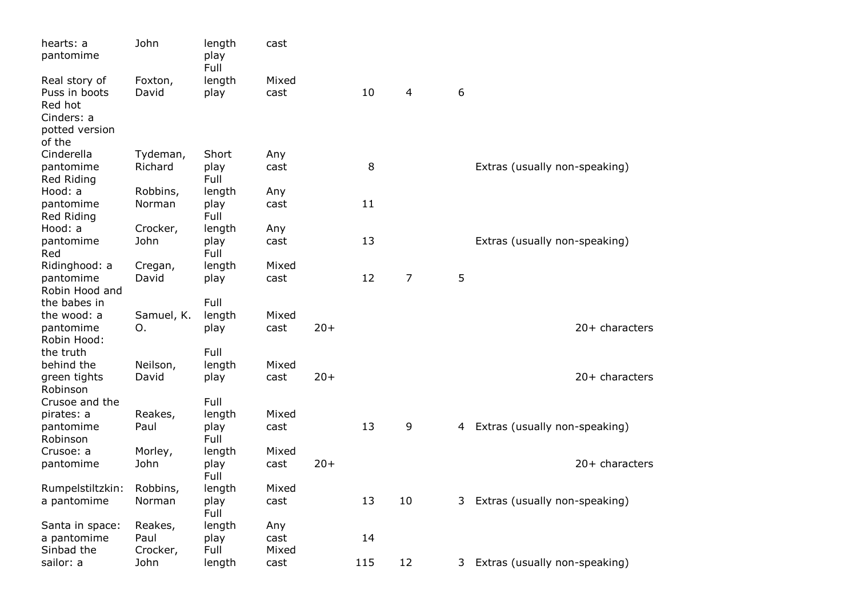| hearts: a<br>pantomime                                                    | John                        | length<br>play<br>Full | cast                 |       |     |                |   |                               |
|---------------------------------------------------------------------------|-----------------------------|------------------------|----------------------|-------|-----|----------------|---|-------------------------------|
| Real story of<br>Puss in boots<br>Red hot<br>Cinders: a<br>potted version | Foxton,<br>David            | length<br>play         | Mixed<br>cast        |       | 10  | 4              | 6 |                               |
| of the<br>Cinderella<br>pantomime<br>Red Riding                           | Tydeman,<br>Richard         | Short<br>play<br>Full  | Any<br>cast          |       | 8   |                |   | Extras (usually non-speaking) |
| Hood: a<br>pantomime<br>Red Riding                                        | Robbins,<br>Norman          | length<br>play<br>Full | Any<br>cast          |       | 11  |                |   |                               |
| Hood: a<br>pantomime                                                      | Crocker,<br>John            | length<br>play         | Any<br>cast          |       | 13  |                |   | Extras (usually non-speaking) |
| Red<br>Ridinghood: a<br>pantomime                                         | Cregan,<br>David            | Full<br>length<br>play | Mixed<br>cast        |       | 12  | $\overline{7}$ | 5 |                               |
| Robin Hood and<br>the babes in                                            |                             | Full                   |                      |       |     |                |   |                               |
| the wood: a<br>pantomime<br>Robin Hood:                                   | Samuel, K.<br>Ο.            | length<br>play         | Mixed<br>cast        | $20+$ |     |                |   | $20+$ characters              |
| the truth<br>behind the                                                   | Neilson,<br>David           | Full<br>length         | Mixed<br>cast        | $20+$ |     |                |   | 20+ characters                |
| green tights<br>Robinson<br>Crusoe and the                                |                             | play<br>Full           |                      |       |     |                |   |                               |
| pirates: a<br>pantomime<br>Robinson                                       | Reakes,<br>Paul             | length<br>play<br>Full | Mixed<br>cast        |       | 13  | 9              | 4 | Extras (usually non-speaking) |
| Crusoe: a<br>pantomime                                                    | Morley,<br>John             | length<br>play<br>Full | Mixed<br>cast        | $20+$ |     |                |   | 20+ characters                |
| Rumpelstiltzkin:<br>a pantomime                                           | Robbins,<br>Norman          | length<br>play<br>Full | Mixed<br>cast        |       | 13  | 10             | 3 | Extras (usually non-speaking) |
| Santa in space:<br>a pantomime<br>Sinbad the                              | Reakes,<br>Paul<br>Crocker, | length<br>play<br>Full | Any<br>cast<br>Mixed |       | 14  |                |   |                               |
| sailor: a                                                                 | John                        | length                 | cast                 |       | 115 | 12             | 3 | Extras (usually non-speaking) |